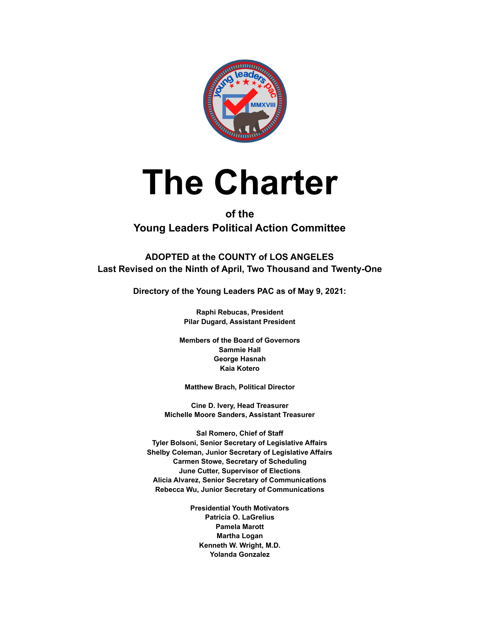

# **The Charter**

# **of the Young Leaders Political Action Committee**

**ADOPTED at the COUNTY of LOS ANGELES Last Revised on the Ninth of April, Two Thousand and Twenty-One**

**Directory of the Young Leaders PAC as of May 9, 2021:**

**Raphi Rebucas, President Pilar Dugard, Assistant President**

**Members of the Board of Governors Sammie Hall George Hasnah Kaia Kotero**

**Matthew Brach, Political Director**

**Cine D. Ivery, Head Treasurer Michelle Moore Sanders, Assistant Treasurer**

**Sal Romero, Chief of Staff Tyler Bolsoni, Senior Secretary of Legislative Affairs Shelby Coleman, Junior Secretary of Legislative Affairs Carmen Stowe, Secretary of Scheduling June Cutter, Supervisor of Elections Alicia Alvarez, Senior Secretary of Communications Rebecca Wu, Junior Secretary of Communications**

> **Presidential Youth Motivators Patricia O. LaGrelius Pamela Marott Martha Logan Kenneth W. Wright, M.D. Yolanda Gonzalez**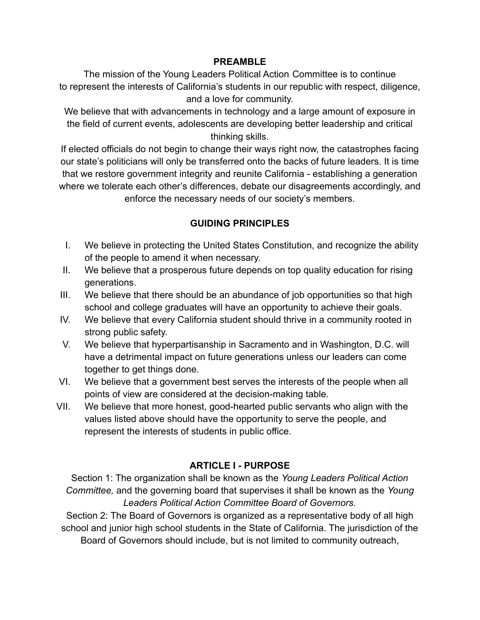#### **PREAMBLE**

The mission of the Young Leaders Political Action Committee is to continue to represent the interests of California's students in our republic with respect, diligence, and a love for community.

We believe that with advancements in technology and a large amount of exposure in the field of current events, adolescents are developing better leadership and critical thinking skills.

If elected officials do not begin to change their ways right now, the catastrophes facing our state's politicians will only be transferred onto the backs of future leaders. It is time that we restore government integrity and reunite California - establishing a generation where we tolerate each other's differences, debate our disagreements accordingly, and enforce the necessary needs of our society's members.

# **GUIDING PRINCIPLES**

- I. We believe in protecting the United States Constitution, and recognize the ability of the people to amend it when necessary.
- II. We believe that a prosperous future depends on top quality education for rising generations.
- III. We believe that there should be an abundance of job opportunities so that high school and college graduates will have an opportunity to achieve their goals.
- IV. We believe that every California student should thrive in a community rooted in strong public safety.
- V. We believe that hyperpartisanship in Sacramento and in Washington, D.C. will have a detrimental impact on future generations unless our leaders can come together to get things done.
- VI. We believe that a government best serves the interests of the people when all points of view are considered at the decision-making table.
- VII. We believe that more honest, good-hearted public servants who align with the values listed above should have the opportunity to serve the people, and represent the interests of students in public office.

# **ARTICLE I - PURPOSE**

Section 1: The organization shall be known as the *Young Leaders Political Action Committee,* and the governing board that supervises it shall be known as the *Young Leaders Political Action Committee Board of Governors.*

Section 2: The Board of Governors is organized as a representative body of all high school and junior high school students in the State of California. The jurisdiction of the Board of Governors should include, but is not limited to community outreach,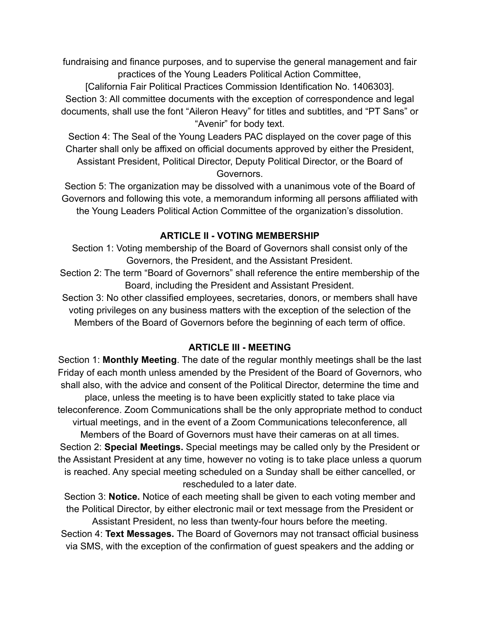fundraising and finance purposes, and to supervise the general management and fair practices of the Young Leaders Political Action Committee,

[California Fair Political Practices Commission Identification No. 1406303]. Section 3: All committee documents with the exception of correspondence and legal documents, shall use the font "Aileron Heavy" for titles and subtitles, and "PT Sans" or "Avenir" for body text.

Section 4: The Seal of the Young Leaders PAC displayed on the cover page of this Charter shall only be affixed on official documents approved by either the President, Assistant President, Political Director, Deputy Political Director, or the Board of Governors.

Section 5: The organization may be dissolved with a unanimous vote of the Board of Governors and following this vote, a memorandum informing all persons affiliated with the Young Leaders Political Action Committee of the organization's dissolution.

# **ARTICLE II - VOTING MEMBERSHIP**

Section 1: Voting membership of the Board of Governors shall consist only of the Governors, the President, and the Assistant President.

Section 2: The term "Board of Governors" shall reference the entire membership of the Board, including the President and Assistant President.

Section 3: No other classified employees, secretaries, donors, or members shall have voting privileges on any business matters with the exception of the selection of the Members of the Board of Governors before the beginning of each term of office.

#### **ARTICLE III - MEETING**

Section 1: **Monthly Meeting**. The date of the regular monthly meetings shall be the last Friday of each month unless amended by the President of the Board of Governors, who shall also, with the advice and consent of the Political Director, determine the time and place, unless the meeting is to have been explicitly stated to take place via teleconference. Zoom Communications shall be the only appropriate method to conduct virtual meetings, and in the event of a Zoom Communications teleconference, all Members of the Board of Governors must have their cameras on at all times. Section 2: **Special Meetings.** Special meetings may be called only by the President or the Assistant President at any time, however no voting is to take place unless a quorum is reached. Any special meeting scheduled on a Sunday shall be either cancelled, or rescheduled to a later date.

Section 3: **Notice.** Notice of each meeting shall be given to each voting member and the Political Director, by either electronic mail or text message from the President or Assistant President, no less than twenty-four hours before the meeting. Section 4: **Text Messages.** The Board of Governors may not transact official business via SMS, with the exception of the confirmation of guest speakers and the adding or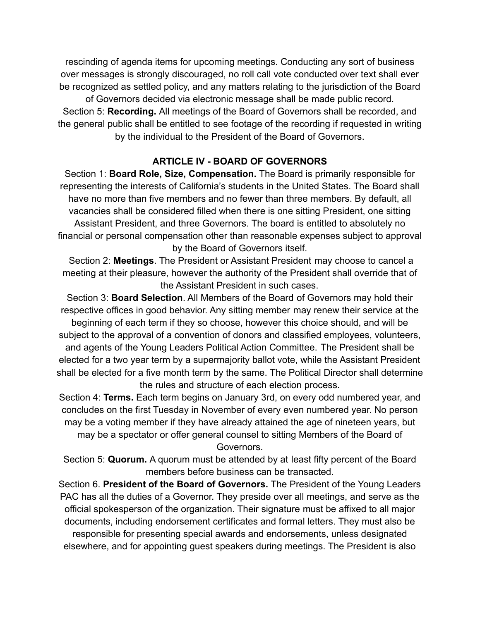rescinding of agenda items for upcoming meetings. Conducting any sort of business over messages is strongly discouraged, no roll call vote conducted over text shall ever be recognized as settled policy, and any matters relating to the jurisdiction of the Board of Governors decided via electronic message shall be made public record.

Section 5: **Recording.** All meetings of the Board of Governors shall be recorded, and the general public shall be entitled to see footage of the recording if requested in writing by the individual to the President of the Board of Governors.

#### **ARTICLE IV - BOARD OF GOVERNORS**

Section 1: **Board Role, Size, Compensation.** The Board is primarily responsible for representing the interests of California's students in the United States. The Board shall have no more than five members and no fewer than three members. By default, all vacancies shall be considered filled when there is one sitting President, one sitting Assistant President, and three Governors. The board is entitled to absolutely no financial or personal compensation other than reasonable expenses subject to approval by the Board of Governors itself.

Section 2: **Meetings**. The President or Assistant President may choose to cancel a meeting at their pleasure, however the authority of the President shall override that of the Assistant President in such cases.

Section 3: **Board Selection**. All Members of the Board of Governors may hold their respective offices in good behavior. Any sitting member may renew their service at the beginning of each term if they so choose, however this choice should, and will be subject to the approval of a convention of donors and classified employees, volunteers, and agents of the Young Leaders Political Action Committee. The President shall be elected for a two year term by a supermajority ballot vote, while the Assistant President shall be elected for a five month term by the same. The Political Director shall determine the rules and structure of each election process.

Section 4: **Terms.** Each term begins on January 3rd, on every odd numbered year, and concludes on the first Tuesday in November of every even numbered year. No person may be a voting member if they have already attained the age of nineteen years, but may be a spectator or offer general counsel to sitting Members of the Board of Governors.

Section 5: **Quorum.** A quorum must be attended by at least fifty percent of the Board members before business can be transacted.

Section 6. **President of the Board of Governors.** The President of the Young Leaders PAC has all the duties of a Governor. They preside over all meetings, and serve as the official spokesperson of the organization. Their signature must be affixed to all major documents, including endorsement certificates and formal letters. They must also be responsible for presenting special awards and endorsements, unless designated elsewhere, and for appointing guest speakers during meetings. The President is also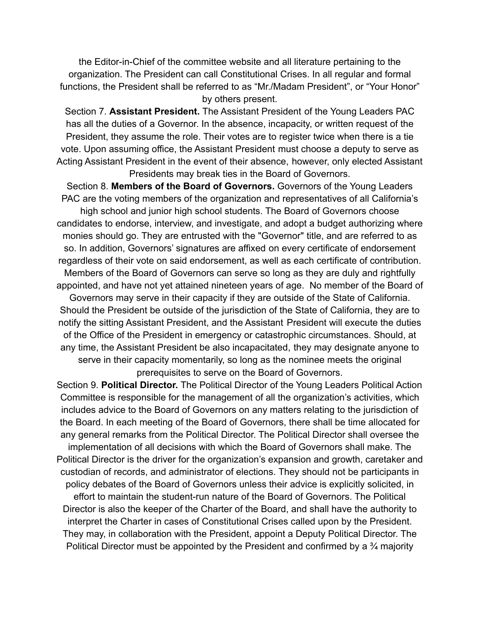the Editor-in-Chief of the committee website and all literature pertaining to the organization. The President can call Constitutional Crises. In all regular and formal functions, the President shall be referred to as "Mr./Madam President", or "Your Honor" by others present.

Section 7. **Assistant President.** The Assistant President of the Young Leaders PAC has all the duties of a Governor. In the absence, incapacity, or written request of the President, they assume the role. Their votes are to register twice when there is a tie vote. Upon assuming office, the Assistant President must choose a deputy to serve as Acting Assistant President in the event of their absence, however, only elected Assistant Presidents may break ties in the Board of Governors.

Section 8. **Members of the Board of Governors.** Governors of the Young Leaders PAC are the voting members of the organization and representatives of all California's high school and junior high school students. The Board of Governors choose candidates to endorse, interview, and investigate, and adopt a budget authorizing where monies should go. They are entrusted with the "Governor" title, and are referred to as so. In addition, Governors' signatures are affixed on every certificate of endorsement regardless of their vote on said endorsement, as well as each certificate of contribution. Members of the Board of Governors can serve so long as they are duly and rightfully appointed, and have not yet attained nineteen years of age. No member of the Board of Governors may serve in their capacity if they are outside of the State of California. Should the President be outside of the jurisdiction of the State of California, they are to notify the sitting Assistant President, and the Assistant President will execute the duties of the Office of the President in emergency or catastrophic circumstances. Should, at any time, the Assistant President be also incapacitated, they may designate anyone to serve in their capacity momentarily, so long as the nominee meets the original prerequisites to serve on the Board of Governors.

Section 9. **Political Director.** The Political Director of the Young Leaders Political Action Committee is responsible for the management of all the organization's activities, which includes advice to the Board of Governors on any matters relating to the jurisdiction of the Board. In each meeting of the Board of Governors, there shall be time allocated for any general remarks from the Political Director. The Political Director shall oversee the implementation of all decisions with which the Board of Governors shall make. The Political Director is the driver for the organization's expansion and growth, caretaker and custodian of records, and administrator of elections. They should not be participants in policy debates of the Board of Governors unless their advice is explicitly solicited, in effort to maintain the student-run nature of the Board of Governors. The Political Director is also the keeper of the Charter of the Board, and shall have the authority to interpret the Charter in cases of Constitutional Crises called upon by the President. They may, in collaboration with the President, appoint a Deputy Political Director. The Political Director must be appointed by the President and confirmed by a ¾ majority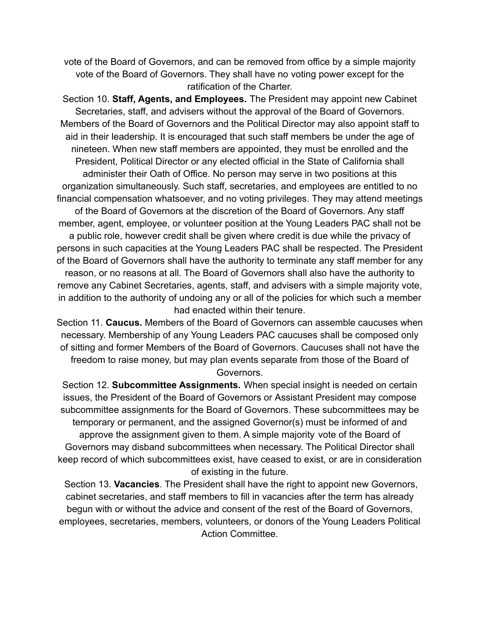vote of the Board of Governors, and can be removed from office by a simple majority vote of the Board of Governors. They shall have no voting power except for the ratification of the Charter.

Section 10. **Staff, Agents, and Employees.** The President may appoint new Cabinet Secretaries, staff, and advisers without the approval of the Board of Governors. Members of the Board of Governors and the Political Director may also appoint staff to aid in their leadership. It is encouraged that such staff members be under the age of nineteen. When new staff members are appointed, they must be enrolled and the President, Political Director or any elected official in the State of California shall administer their Oath of Office. No person may serve in two positions at this organization simultaneously. Such staff, secretaries, and employees are entitled to no financial compensation whatsoever, and no voting privileges. They may attend meetings of the Board of Governors at the discretion of the Board of Governors. Any staff member, agent, employee, or volunteer position at the Young Leaders PAC shall not be a public role, however credit shall be given where credit is due while the privacy of persons in such capacities at the Young Leaders PAC shall be respected. The President of the Board of Governors shall have the authority to terminate any staff member for any reason, or no reasons at all. The Board of Governors shall also have the authority to remove any Cabinet Secretaries, agents, staff, and advisers with a simple majority vote, in addition to the authority of undoing any or all of the policies for which such a member had enacted within their tenure.

Section 11. **Caucus.** Members of the Board of Governors can assemble caucuses when necessary. Membership of any Young Leaders PAC caucuses shall be composed only of sitting and former Members of the Board of Governors. Caucuses shall not have the freedom to raise money, but may plan events separate from those of the Board of Governors.

Section 12. **Subcommittee Assignments.** When special insight is needed on certain issues, the President of the Board of Governors or Assistant President may compose subcommittee assignments for the Board of Governors. These subcommittees may be temporary or permanent, and the assigned Governor(s) must be informed of and approve the assignment given to them. A simple majority vote of the Board of Governors may disband subcommittees when necessary. The Political Director shall keep record of which subcommittees exist, have ceased to exist, or are in consideration of existing in the future.

Section 13. **Vacancies**. The President shall have the right to appoint new Governors, cabinet secretaries, and staff members to fill in vacancies after the term has already begun with or without the advice and consent of the rest of the Board of Governors, employees, secretaries, members, volunteers, or donors of the Young Leaders Political Action Committee.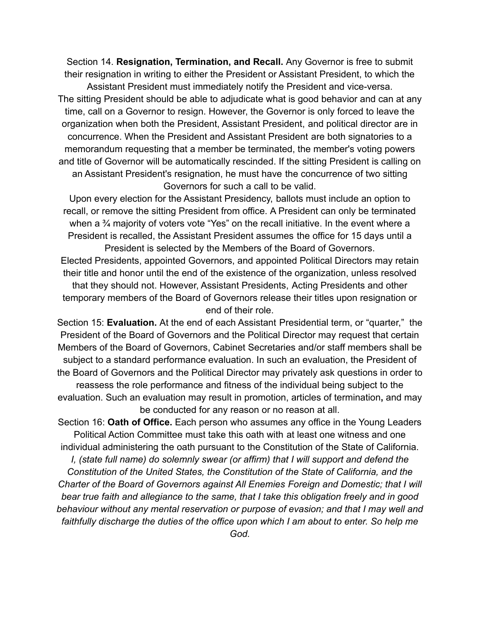Section 14. **Resignation, Termination, and Recall.** Any Governor is free to submit their resignation in writing to either the President or Assistant President, to which the

Assistant President must immediately notify the President and vice-versa. The sitting President should be able to adjudicate what is good behavior and can at any time, call on a Governor to resign. However, the Governor is only forced to leave the organization when both the President, Assistant President, and political director are in concurrence. When the President and Assistant President are both signatories to a memorandum requesting that a member be terminated, the member's voting powers and title of Governor will be automatically rescinded. If the sitting President is calling on an Assistant President's resignation, he must have the concurrence of two sitting Governors for such a call to be valid.

Upon every election for the Assistant Presidency, ballots must include an option to recall, or remove the sitting President from office. A President can only be terminated when a <sup>3</sup>/<sub>4</sub> majority of voters vote "Yes" on the recall initiative. In the event where a President is recalled, the Assistant President assumes the office for 15 days until a President is selected by the Members of the Board of Governors.

Elected Presidents, appointed Governors, and appointed Political Directors may retain their title and honor until the end of the existence of the organization, unless resolved that they should not. However, Assistant Presidents, Acting Presidents and other temporary members of the Board of Governors release their titles upon resignation or end of their role.

Section 15: **Evaluation.** At the end of each Assistant Presidential term, or "quarter," the President of the Board of Governors and the Political Director may request that certain Members of the Board of Governors, Cabinet Secretaries and/or staff members shall be subject to a standard performance evaluation. In such an evaluation, the President of the Board of Governors and the Political Director may privately ask questions in order to

reassess the role performance and fitness of the individual being subject to the evaluation. Such an evaluation may result in promotion, articles of termination**,** and may be conducted for any reason or no reason at all.

Section 16: **Oath of Office.** Each person who assumes any office in the Young Leaders Political Action Committee must take this oath with at least one witness and one individual administering the oath pursuant to the Constitution of the State of California.

*I, (state full name) do solemnly swear (or affirm) that I will support and defend the Constitution of the United States, the Constitution of the State of California, and the Charter of the Board of Governors against All Enemies Foreign and Domestic; that I will bear true faith and allegiance to the same, that I take this obligation freely and in good behaviour without any mental reservation or purpose of evasion; and that I may well and faithfully discharge the duties of the office upon which I am about to enter. So help me*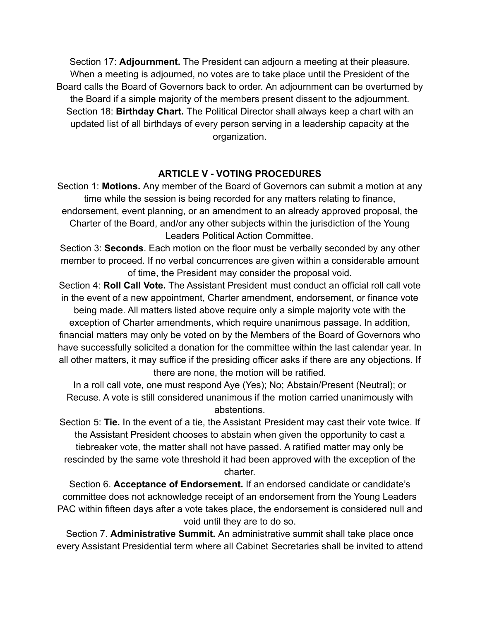Section 17: **Adjournment.** The President can adjourn a meeting at their pleasure. When a meeting is adjourned, no votes are to take place until the President of the Board calls the Board of Governors back to order. An adjournment can be overturned by the Board if a simple majority of the members present dissent to the adjournment. Section 18: **Birthday Chart.** The Political Director shall always keep a chart with an updated list of all birthdays of every person serving in a leadership capacity at the organization.

# **ARTICLE V - VOTING PROCEDURES**

Section 1: **Motions.** Any member of the Board of Governors can submit a motion at any time while the session is being recorded for any matters relating to finance, endorsement, event planning, or an amendment to an already approved proposal, the Charter of the Board, and/or any other subjects within the jurisdiction of the Young Leaders Political Action Committee.

Section 3: **Seconds**. Each motion on the floor must be verbally seconded by any other member to proceed. If no verbal concurrences are given within a considerable amount of time, the President may consider the proposal void.

Section 4: **Roll Call Vote.** The Assistant President must conduct an official roll call vote in the event of a new appointment, Charter amendment, endorsement, or finance vote

being made. All matters listed above require only a simple majority vote with the exception of Charter amendments, which require unanimous passage. In addition, financial matters may only be voted on by the Members of the Board of Governors who have successfully solicited a donation for the committee within the last calendar year. In all other matters, it may suffice if the presiding officer asks if there are any objections. If there are none, the motion will be ratified.

In a roll call vote, one must respond Aye (Yes); No; Abstain/Present (Neutral); or Recuse. A vote is still considered unanimous if the motion carried unanimously with abstentions.

Section 5: **Tie.** In the event of a tie, the Assistant President may cast their vote twice. If the Assistant President chooses to abstain when given the opportunity to cast a tiebreaker vote, the matter shall not have passed. A ratified matter may only be rescinded by the same vote threshold it had been approved with the exception of the charter.

Section 6. **Acceptance of Endorsement.** If an endorsed candidate or candidate's committee does not acknowledge receipt of an endorsement from the Young Leaders PAC within fifteen days after a vote takes place, the endorsement is considered null and void until they are to do so.

Section 7. **Administrative Summit.** An administrative summit shall take place once every Assistant Presidential term where all Cabinet Secretaries shall be invited to attend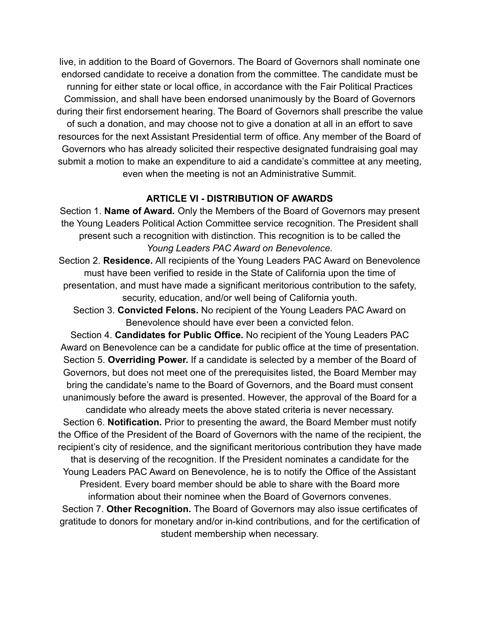live, in addition to the Board of Governors. The Board of Governors shall nominate one endorsed candidate to receive a donation from the committee. The candidate must be running for either state or local office, in accordance with the Fair Political Practices Commission, and shall have been endorsed unanimously by the Board of Governors during their first endorsement hearing. The Board of Governors shall prescribe the value of such a donation, and may choose not to give a donation at all in an effort to save resources for the next Assistant Presidential term of office. Any member of the Board of Governors who has already solicited their respective designated fundraising goal may submit a motion to make an expenditure to aid a candidate's committee at any meeting, even when the meeting is not an Administrative Summit.

#### **ARTICLE VI - DISTRIBUTION OF AWARDS**

Section 1. **Name of Award.** Only the Members of the Board of Governors may present the Young Leaders Political Action Committee service recognition. The President shall present such a recognition with distinction. This recognition is to be called the *Young Leaders PAC Award on Benevolence.*

Section 2. **Residence.** All recipients of the Young Leaders PAC Award on Benevolence must have been verified to reside in the State of California upon the time of presentation, and must have made a significant meritorious contribution to the safety, security, education, and/or well being of California youth.

Section 3. **Convicted Felons.** No recipient of the Young Leaders PAC Award on Benevolence should have ever been a convicted felon.

Section 4. **Candidates for Public Office.** No recipient of the Young Leaders PAC Award on Benevolence can be a candidate for public office at the time of presentation. Section 5. **Overriding Power.** If a candidate is selected by a member of the Board of Governors, but does not meet one of the prerequisites listed, the Board Member may bring the candidate's name to the Board of Governors, and the Board must consent unanimously before the award is presented. However, the approval of the Board for a candidate who already meets the above stated criteria is never necessary.

Section 6. **Notification.** Prior to presenting the award, the Board Member must notify the Office of the President of the Board of Governors with the name of the recipient, the recipient's city of residence, and the significant meritorious contribution they have made that is deserving of the recognition. If the President nominates a candidate for the Young Leaders PAC Award on Benevolence, he is to notify the Office of the Assistant President. Every board member should be able to share with the Board more information about their nominee when the Board of Governors convenes. Section 7. **Other Recognition.** The Board of Governors may also issue certificates of gratitude to donors for monetary and/or in-kind contributions, and for the certification of

student membership when necessary.